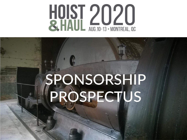

# SPONSORSHIP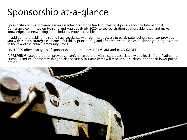### Sponsorship at-a-glance

Sponsorship of this conference is an essential part of the funding, making it possible for the International Conference committee on Hoisting and Haulage (H&H 2020) to set registration at affordable rates, and make knowledge and networking in the industry more accessible.

In addition to providing hoist and haul specialists with significant access to participate, being a sponsor provides you with various strategic elements of visibility prior, during and after the event – which positions your organization in theirs and the entire community's eyes.

H&H 2020 offers two types of sponsorship opportunities: **PREMIUM** and **A-LA-CARTE.**

A **PREMIUM** category option provides a conference partner with a status associated with a level – from Platinum to Friend. Premium Sponsors wishing to also secure À-la-Carte items will receive a 20% discount on their lower priced option.

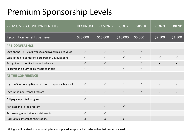#### Premium Sponsorship Levels

| PREMIUM RECOGNITION BENEFITS                             | <b>PLATINUM</b> | <b>DIAMOND</b> | <b>GOLD</b>  | <b>SILVER</b> | <b>BRONZE</b> | <b>FRIEND</b> |
|----------------------------------------------------------|-----------------|----------------|--------------|---------------|---------------|---------------|
| Recognition benefits per level                           | \$20,000        | \$15,000       | \$10,000     | \$5,000       | \$2,500       | \$1,500       |
| <b>PRE-CONFERENCE</b>                                    |                 |                |              |               |               |               |
| Logo on the H&H 2020 website and hyperlinked to yours    | $\checkmark$    | $\checkmark$   | $\checkmark$ | $\checkmark$  | $\checkmark$  | $\checkmark$  |
| Logo in the pre-conference program in CIM Magazine       | $\checkmark$    | $\checkmark$   | $\checkmark$ | $\checkmark$  | $\checkmark$  | $\checkmark$  |
| Recognition in notifications and e-blasts                | $\checkmark$    | $\checkmark$   | $\checkmark$ | $\checkmark$  | $\checkmark$  | $\checkmark$  |
| Recognition on CIM social media channels                 | $\checkmark$    | $\checkmark$   | $\checkmark$ | $\checkmark$  |               |               |
| <b>AT THE CONFERENCE</b>                                 |                 |                |              |               |               |               |
| Logo on Sponsorship Banners - sized to sponsorship level | $\checkmark$    | $\checkmark$   | $\checkmark$ | $\checkmark$  | $\checkmark$  |               |
| Logo in the Conference Program                           | $\checkmark$    | $\checkmark$   | $\checkmark$ | $\checkmark$  | $\checkmark$  | $\checkmark$  |
| Full page in printed program                             | $\checkmark$    |                |              |               |               |               |
| Half page in printed program                             |                 | $\checkmark$   | $\checkmark$ |               |               |               |
| Acknowledgement at key social events                     | $\checkmark$    | $\checkmark$   | $\checkmark$ |               |               |               |
| H&H 2020 conference registrations                        | 3               | 2              | $\mathbf{1}$ |               |               |               |

All logos will be sized to sponsorship level and placed in alphabetical order within their respective level.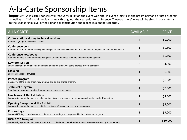#### A-la-Carte Sponsorship Items

**Important**: A-la-carte sponsors will receive visibility on the event web site, in event e-blasts, in the preliminary and printed program as well as on CIM social media channels throughout the year prior to conference. These partners' logos will be sized in our materials to the sponsorship level of their financial contribution and placed in alphabetical order.

| À-LA-CARTE                                                                                                                                    | <b>AVAILABLE</b> | <b>PRICE</b> |
|-----------------------------------------------------------------------------------------------------------------------------------------------|------------------|--------------|
| <b>Coffee stations during technical sessions</b><br>Branded signage at the coffee stations                                                    | 4                | \$1,000      |
| Conference pens<br>Branded pens to be offered to delegates and placed at each setting in room. Custom pens to be provided/paid for by sponsor | 1                | \$1,500      |
| <b>Conference notebooks</b><br>Branded notebooks to be offered to delegates. Custom notepads to be provided/paid for by sponsor               | 1                | \$1,500      |
| <b>Keynote session</b><br>Logo on signage at entrance and on screen during the event. Welcome address by your company                         | $\overline{2}$   | \$4,000      |
| Lanyards<br>Logo on conference lanyards                                                                                                       | $\mathbf{1}$     | \$6,000      |
| <b>Printed program</b><br>Back cover of the digital preliminary program and on-site printed program                                           | 1                | \$6,000      |
| <b>Technical program</b><br>Your logo on signage in front of the room and on large screen inside                                              | $\mathbf{1}$     | \$7,000      |
| Luncheons at the Exhibition<br>Logo on signage at the door and buffet stations. Words of welcome by your company from the exhibit P/A system  | $\overline{2}$   | \$8,000      |
| <b>Opening Reception at the Exhibit</b><br>Logo on signage at the door and buffet/bar stations. Welcome address by your company               | 1                | \$8,000      |
| <b>Proceedings</b><br>Logo on USB keys containiong the conference proceedings and $\frac{1}{2}$ page ad in the conference program             | $\mathbf{1}$     | \$9,000      |
| H&H 2020 Banquet<br>Logo on signage at the door, on the menus and on the large screen inside the room. Welcome address by your company        |                  | \$10,000     |